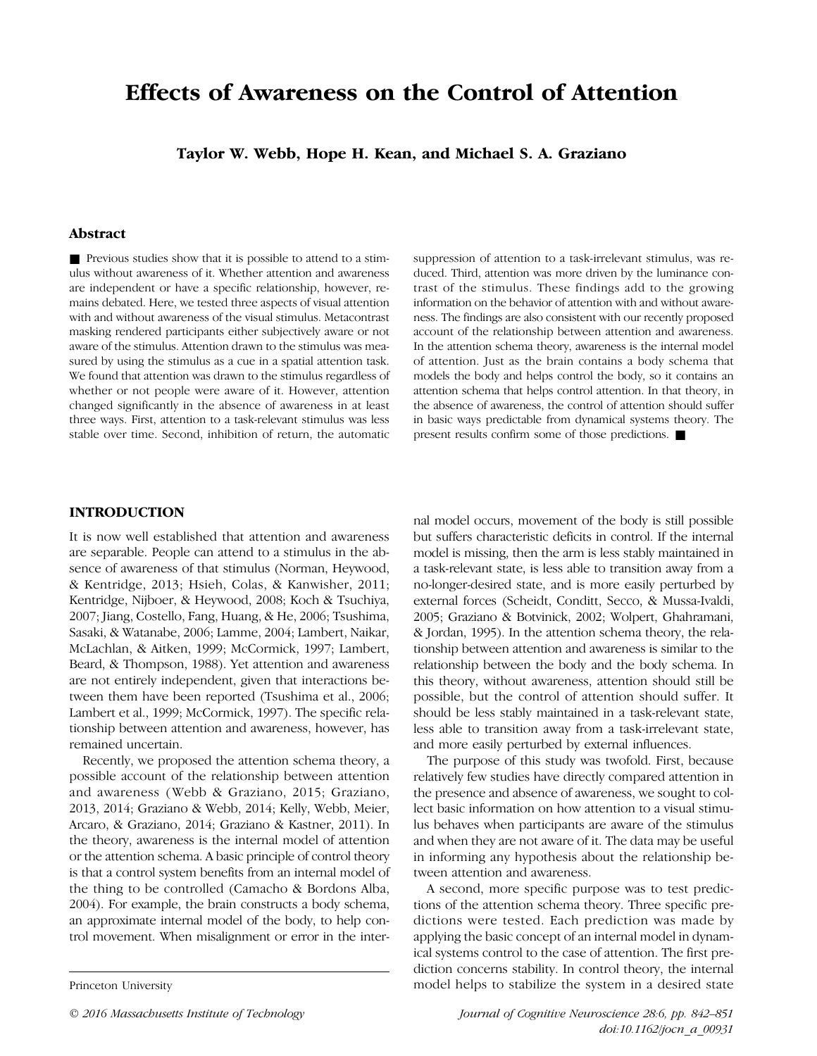# Effects of Awareness on the Control of Attention

Taylor W. Webb, Hope H. Kean, and Michael S. A. Graziano

## Abstract

■ Previous studies show that it is possible to attend to a stimulus without awareness of it. Whether attention and awareness are independent or have a specific relationship, however, remains debated. Here, we tested three aspects of visual attention with and without awareness of the visual stimulus. Metacontrast masking rendered participants either subjectively aware or not aware of the stimulus. Attention drawn to the stimulus was measured by using the stimulus as a cue in a spatial attention task. We found that attention was drawn to the stimulus regardless of whether or not people were aware of it. However, attention changed significantly in the absence of awareness in at least three ways. First, attention to a task-relevant stimulus was less stable over time. Second, inhibition of return, the automatic suppression of attention to a task-irrelevant stimulus, was reduced. Third, attention was more driven by the luminance contrast of the stimulus. These findings add to the growing information on the behavior of attention with and without awareness. The findings are also consistent with our recently proposed account of the relationship between attention and awareness. In the attention schema theory, awareness is the internal model of attention. Just as the brain contains a body schema that models the body and helps control the body, so it contains an attention schema that helps control attention. In that theory, in the absence of awareness, the control of attention should suffer in basic ways predictable from dynamical systems theory. The present results confirm some of those predictions. ■

#### INTRODUCTION

It is now well established that attention and awareness are separable. People can attend to a stimulus in the absence of awareness of that stimulus (Norman, Heywood, & Kentridge, 2013; Hsieh, Colas, & Kanwisher, 2011; Kentridge, Nijboer, & Heywood, 2008; Koch & Tsuchiya, 2007; Jiang, Costello, Fang, Huang, & He, 2006; Tsushima, Sasaki, & Watanabe, 2006; Lamme, 2004; Lambert, Naikar, McLachlan, & Aitken, 1999; McCormick, 1997; Lambert, Beard, & Thompson, 1988). Yet attention and awareness are not entirely independent, given that interactions between them have been reported (Tsushima et al., 2006; Lambert et al., 1999; McCormick, 1997). The specific relationship between attention and awareness, however, has remained uncertain.

Recently, we proposed the attention schema theory, a possible account of the relationship between attention and awareness (Webb & Graziano, 2015; Graziano, 2013, 2014; Graziano & Webb, 2014; Kelly, Webb, Meier, Arcaro, & Graziano, 2014; Graziano & Kastner, 2011). In the theory, awareness is the internal model of attention or the attention schema. A basic principle of control theory is that a control system benefits from an internal model of the thing to be controlled (Camacho & Bordons Alba, 2004). For example, the brain constructs a body schema, an approximate internal model of the body, to help control movement. When misalignment or error in the inter-

The purpose of this study was twofold. First, because relatively few studies have directly compared attention in the presence and absence of awareness, we sought to collect basic information on how attention to a visual stimulus behaves when participants are aware of the stimulus and when they are not aware of it. The data may be useful in informing any hypothesis about the relationship between attention and awareness.

A second, more specific purpose was to test predictions of the attention schema theory. Three specific predictions were tested. Each prediction was made by applying the basic concept of an internal model in dynamical systems control to the case of attention. The first prediction concerns stability. In control theory, the internal Princeton University **model helps** to stabilize the system in a desired state

nal model occurs, movement of the body is still possible but suffers characteristic deficits in control. If the internal model is missing, then the arm is less stably maintained in a task-relevant state, is less able to transition away from a no-longer-desired state, and is more easily perturbed by external forces (Scheidt, Conditt, Secco, & Mussa-Ivaldi, 2005; Graziano & Botvinick, 2002; Wolpert, Ghahramani, & Jordan, 1995). In the attention schema theory, the relationship between attention and awareness is similar to the relationship between the body and the body schema. In this theory, without awareness, attention should still be possible, but the control of attention should suffer. It should be less stably maintained in a task-relevant state, less able to transition away from a task-irrelevant state, and more easily perturbed by external influences.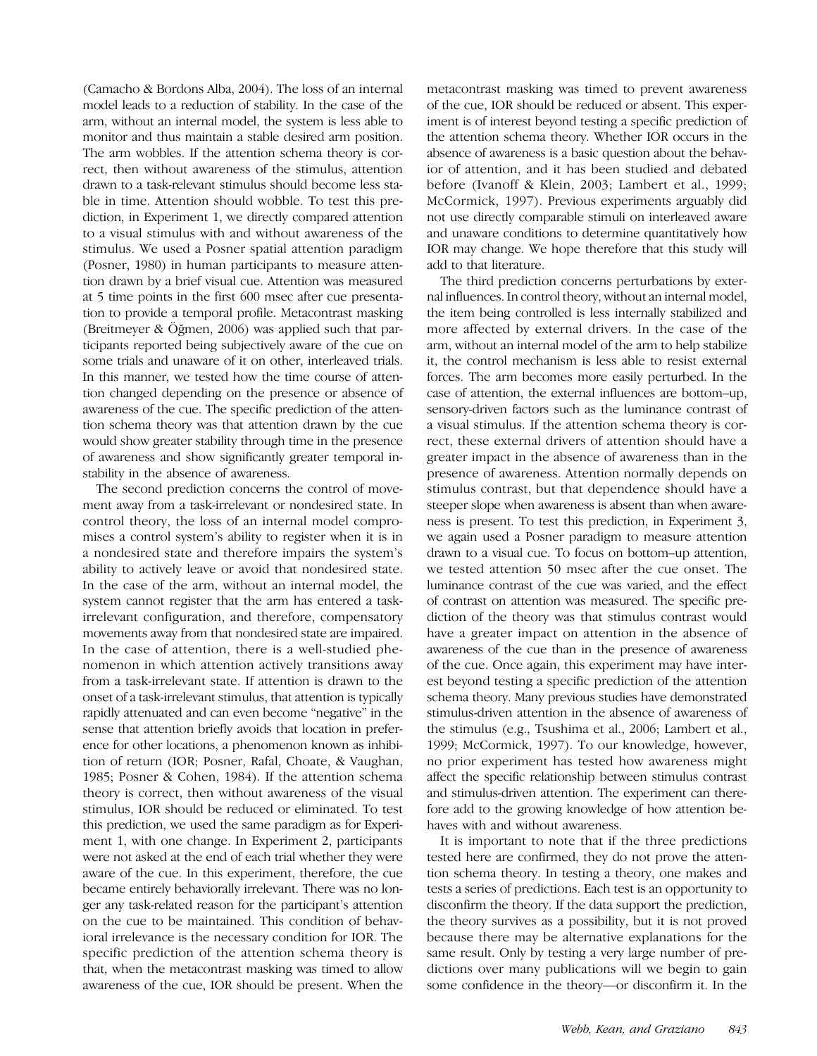(Camacho & Bordons Alba, 2004). The loss of an internal model leads to a reduction of stability. In the case of the arm, without an internal model, the system is less able to monitor and thus maintain a stable desired arm position. The arm wobbles. If the attention schema theory is correct, then without awareness of the stimulus, attention drawn to a task-relevant stimulus should become less stable in time. Attention should wobble. To test this prediction, in Experiment 1, we directly compared attention to a visual stimulus with and without awareness of the stimulus. We used a Posner spatial attention paradigm (Posner, 1980) in human participants to measure attention drawn by a brief visual cue. Attention was measured at 5 time points in the first 600 msec after cue presentation to provide a temporal profile. Metacontrast masking (Breitmeyer & Öğmen, 2006) was applied such that participants reported being subjectively aware of the cue on some trials and unaware of it on other, interleaved trials. In this manner, we tested how the time course of attention changed depending on the presence or absence of awareness of the cue. The specific prediction of the attention schema theory was that attention drawn by the cue would show greater stability through time in the presence of awareness and show significantly greater temporal instability in the absence of awareness.

The second prediction concerns the control of movement away from a task-irrelevant or nondesired state. In control theory, the loss of an internal model compromises a control system's ability to register when it is in a nondesired state and therefore impairs the system's ability to actively leave or avoid that nondesired state. In the case of the arm, without an internal model, the system cannot register that the arm has entered a taskirrelevant configuration, and therefore, compensatory movements away from that nondesired state are impaired. In the case of attention, there is a well-studied phenomenon in which attention actively transitions away from a task-irrelevant state. If attention is drawn to the onset of a task-irrelevant stimulus, that attention is typically rapidly attenuated and can even become "negative" in the sense that attention briefly avoids that location in preference for other locations, a phenomenon known as inhibition of return (IOR; Posner, Rafal, Choate, & Vaughan, 1985; Posner & Cohen, 1984). If the attention schema theory is correct, then without awareness of the visual stimulus, IOR should be reduced or eliminated. To test this prediction, we used the same paradigm as for Experiment 1, with one change. In Experiment 2, participants were not asked at the end of each trial whether they were aware of the cue. In this experiment, therefore, the cue became entirely behaviorally irrelevant. There was no longer any task-related reason for the participant's attention on the cue to be maintained. This condition of behavioral irrelevance is the necessary condition for IOR. The specific prediction of the attention schema theory is that, when the metacontrast masking was timed to allow awareness of the cue, IOR should be present. When the

metacontrast masking was timed to prevent awareness of the cue, IOR should be reduced or absent. This experiment is of interest beyond testing a specific prediction of the attention schema theory. Whether IOR occurs in the absence of awareness is a basic question about the behavior of attention, and it has been studied and debated before (Ivanoff & Klein, 2003; Lambert et al., 1999; McCormick, 1997). Previous experiments arguably did not use directly comparable stimuli on interleaved aware and unaware conditions to determine quantitatively how IOR may change. We hope therefore that this study will add to that literature.

The third prediction concerns perturbations by external influences. In control theory, without an internal model, the item being controlled is less internally stabilized and more affected by external drivers. In the case of the arm, without an internal model of the arm to help stabilize it, the control mechanism is less able to resist external forces. The arm becomes more easily perturbed. In the case of attention, the external influences are bottom–up, sensory-driven factors such as the luminance contrast of a visual stimulus. If the attention schema theory is correct, these external drivers of attention should have a greater impact in the absence of awareness than in the presence of awareness. Attention normally depends on stimulus contrast, but that dependence should have a steeper slope when awareness is absent than when awareness is present. To test this prediction, in Experiment 3, we again used a Posner paradigm to measure attention drawn to a visual cue. To focus on bottom–up attention, we tested attention 50 msec after the cue onset. The luminance contrast of the cue was varied, and the effect of contrast on attention was measured. The specific prediction of the theory was that stimulus contrast would have a greater impact on attention in the absence of awareness of the cue than in the presence of awareness of the cue. Once again, this experiment may have interest beyond testing a specific prediction of the attention schema theory. Many previous studies have demonstrated stimulus-driven attention in the absence of awareness of the stimulus (e.g., Tsushima et al., 2006; Lambert et al., 1999; McCormick, 1997). To our knowledge, however, no prior experiment has tested how awareness might affect the specific relationship between stimulus contrast and stimulus-driven attention. The experiment can therefore add to the growing knowledge of how attention behaves with and without awareness.

It is important to note that if the three predictions tested here are confirmed, they do not prove the attention schema theory. In testing a theory, one makes and tests a series of predictions. Each test is an opportunity to disconfirm the theory. If the data support the prediction, the theory survives as a possibility, but it is not proved because there may be alternative explanations for the same result. Only by testing a very large number of predictions over many publications will we begin to gain some confidence in the theory—or disconfirm it. In the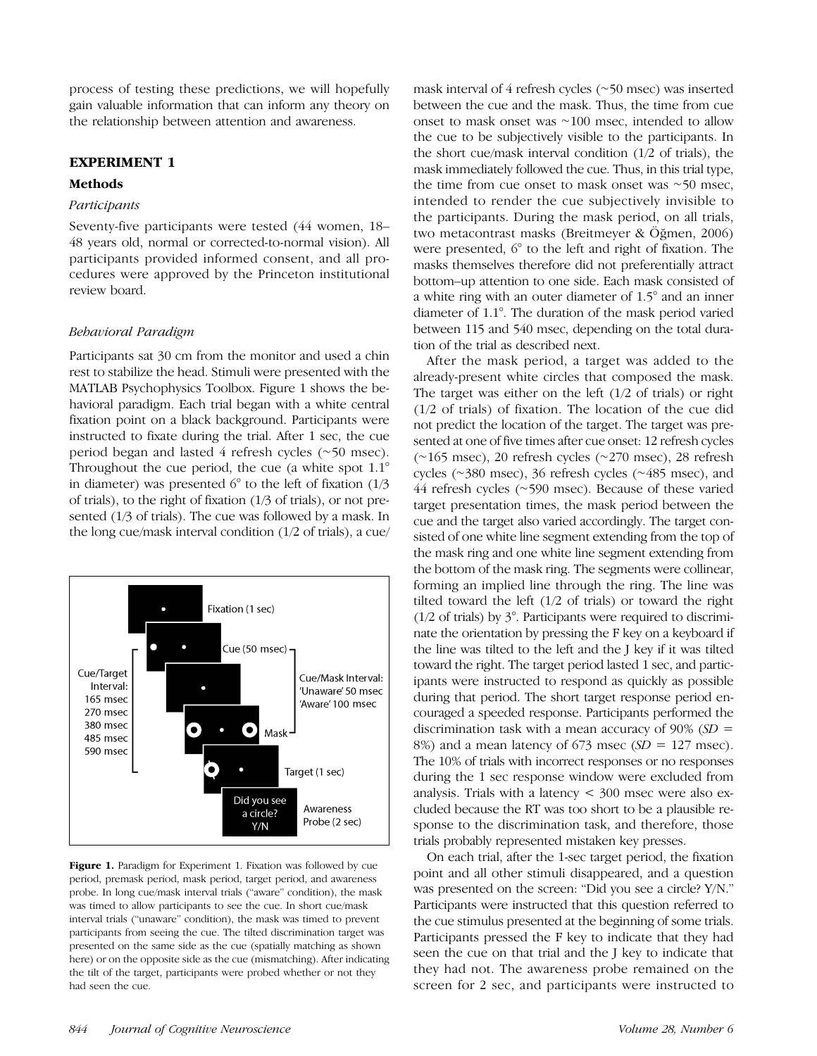process of testing these predictions, we will hopefully gain valuable information that can inform any theory on the relationship between attention and awareness.

# EXPERIMENT 1

## Methods

#### Participants

Seventy-five participants were tested (44 women, 18– 48 years old, normal or corrected-to-normal vision). All participants provided informed consent, and all procedures were approved by the Princeton institutional review board.

#### Behavioral Paradigm

Participants sat 30 cm from the monitor and used a chin rest to stabilize the head. Stimuli were presented with the MATLAB Psychophysics Toolbox. Figure 1 shows the behavioral paradigm. Each trial began with a white central fixation point on a black background. Participants were instructed to fixate during the trial. After 1 sec, the cue period began and lasted 4 refresh cycles (∼50 msec). Throughout the cue period, the cue (a white spot 1.1° in diameter) was presented  $6^{\circ}$  to the left of fixation  $(1/3)$ of trials), to the right of fixation (1/3 of trials), or not presented (1/3 of trials). The cue was followed by a mask. In the long cue/mask interval condition (1/2 of trials), a cue/



Figure 1. Paradigm for Experiment 1. Fixation was followed by cue period, premask period, mask period, target period, and awareness probe. In long cue/mask interval trials ("aware" condition), the mask was timed to allow participants to see the cue. In short cue/mask interval trials ("unaware" condition), the mask was timed to prevent participants from seeing the cue. The tilted discrimination target was presented on the same side as the cue (spatially matching as shown here) or on the opposite side as the cue (mismatching). After indicating the tilt of the target, participants were probed whether or not they had seen the cue.

mask interval of 4 refresh cycles (∼50 msec) was inserted between the cue and the mask. Thus, the time from cue onset to mask onset was ∼100 msec, intended to allow the cue to be subjectively visible to the participants. In the short cue/mask interval condition (1/2 of trials), the mask immediately followed the cue. Thus, in this trial type, the time from cue onset to mask onset was ∼50 msec, intended to render the cue subjectively invisible to the participants. During the mask period, on all trials, two metacontrast masks (Breitmeyer & Öğmen, 2006) were presented, 6° to the left and right of fixation. The masks themselves therefore did not preferentially attract bottom–up attention to one side. Each mask consisted of a white ring with an outer diameter of 1.5° and an inner diameter of 1.1°. The duration of the mask period varied between 115 and 540 msec, depending on the total duration of the trial as described next.

After the mask period, a target was added to the already-present white circles that composed the mask. The target was either on the left (1/2 of trials) or right (1/2 of trials) of fixation. The location of the cue did not predict the location of the target. The target was presented at one of five times after cue onset: 12 refresh cycles (∼165 msec), 20 refresh cycles (∼270 msec), 28 refresh cycles (∼380 msec), 36 refresh cycles (∼485 msec), and 44 refresh cycles (∼590 msec). Because of these varied target presentation times, the mask period between the cue and the target also varied accordingly. The target consisted of one white line segment extending from the top of the mask ring and one white line segment extending from the bottom of the mask ring. The segments were collinear, forming an implied line through the ring. The line was tilted toward the left (1/2 of trials) or toward the right (1/2 of trials) by 3°. Participants were required to discriminate the orientation by pressing the F key on a keyboard if the line was tilted to the left and the J key if it was tilted toward the right. The target period lasted 1 sec, and participants were instructed to respond as quickly as possible during that period. The short target response period encouraged a speeded response. Participants performed the discrimination task with a mean accuracy of 90% ( $SD =$ 8%) and a mean latency of 673 msec  $(SD = 127$  msec). The 10% of trials with incorrect responses or no responses during the 1 sec response window were excluded from analysis. Trials with a latency < 300 msec were also excluded because the RT was too short to be a plausible response to the discrimination task, and therefore, those trials probably represented mistaken key presses.

On each trial, after the 1-sec target period, the fixation point and all other stimuli disappeared, and a question was presented on the screen: "Did you see a circle? Y/N." Participants were instructed that this question referred to the cue stimulus presented at the beginning of some trials. Participants pressed the F key to indicate that they had seen the cue on that trial and the J key to indicate that they had not. The awareness probe remained on the screen for 2 sec, and participants were instructed to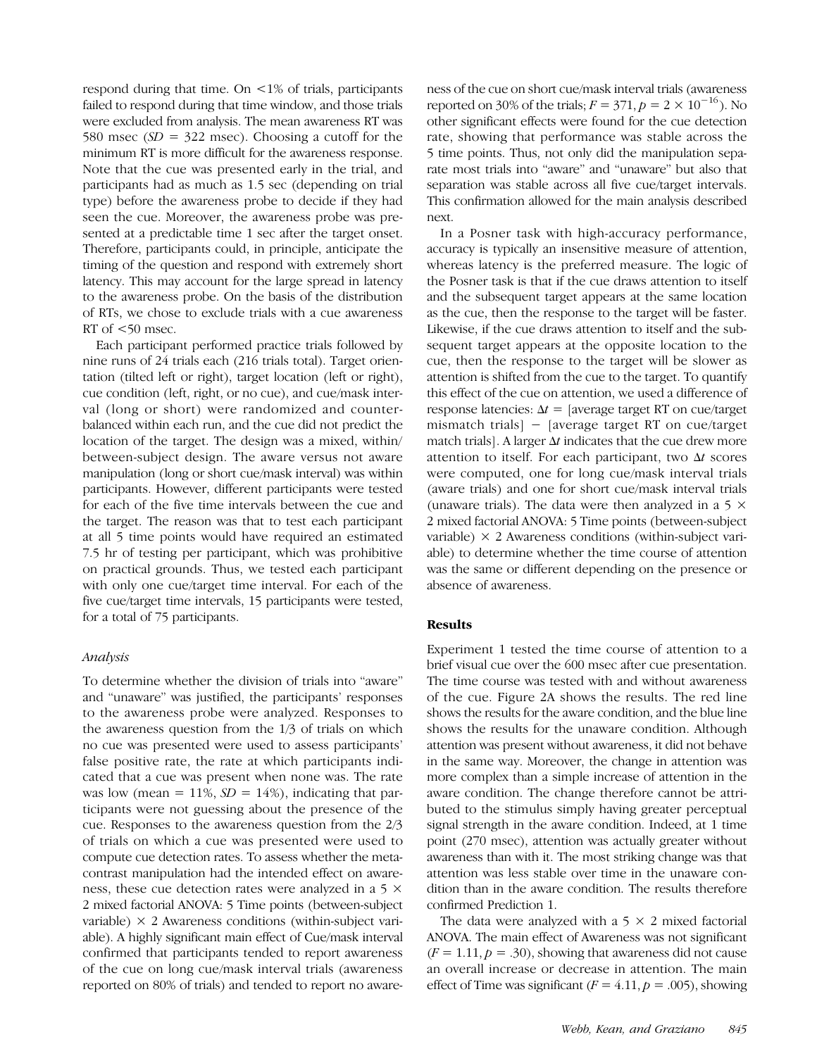respond during that time. On <1% of trials, participants failed to respond during that time window, and those trials were excluded from analysis. The mean awareness RT was 580 msec  $(SD = 322$  msec). Choosing a cutoff for the minimum RT is more difficult for the awareness response. Note that the cue was presented early in the trial, and participants had as much as 1.5 sec (depending on trial type) before the awareness probe to decide if they had seen the cue. Moreover, the awareness probe was presented at a predictable time 1 sec after the target onset. Therefore, participants could, in principle, anticipate the timing of the question and respond with extremely short latency. This may account for the large spread in latency to the awareness probe. On the basis of the distribution of RTs, we chose to exclude trials with a cue awareness RT of <50 msec.

Each participant performed practice trials followed by nine runs of 24 trials each (216 trials total). Target orientation (tilted left or right), target location (left or right), cue condition (left, right, or no cue), and cue/mask interval (long or short) were randomized and counterbalanced within each run, and the cue did not predict the location of the target. The design was a mixed, within/ between-subject design. The aware versus not aware manipulation (long or short cue/mask interval) was within participants. However, different participants were tested for each of the five time intervals between the cue and the target. The reason was that to test each participant at all 5 time points would have required an estimated 7.5 hr of testing per participant, which was prohibitive on practical grounds. Thus, we tested each participant with only one cue/target time interval. For each of the five cue/target time intervals, 15 participants were tested, for a total of 75 participants.

#### Analysis

To determine whether the division of trials into "aware" and "unaware" was justified, the participants' responses to the awareness probe were analyzed. Responses to the awareness question from the 1/3 of trials on which no cue was presented were used to assess participants' false positive rate, the rate at which participants indicated that a cue was present when none was. The rate was low (mean = 11%,  $SD = 14\%$ ), indicating that participants were not guessing about the presence of the cue. Responses to the awareness question from the 2/3 of trials on which a cue was presented were used to compute cue detection rates. To assess whether the metacontrast manipulation had the intended effect on awareness, these cue detection rates were analyzed in a 5 × 2 mixed factorial ANOVA: 5 Time points (between-subject variable)  $\times$  2 Awareness conditions (within-subject variable). A highly significant main effect of Cue/mask interval confirmed that participants tended to report awareness of the cue on long cue/mask interval trials (awareness reported on 80% of trials) and tended to report no aware-

ness of the cue on short cue/mask interval trials (awareness reported on 30% of the trials;  $F = 371$ ,  $p = 2 \times 10^{-16}$ ). No other significant effects were found for the cue detection rate, showing that performance was stable across the 5 time points. Thus, not only did the manipulation separate most trials into "aware" and "unaware" but also that separation was stable across all five cue/target intervals. This confirmation allowed for the main analysis described next.

In a Posner task with high-accuracy performance, accuracy is typically an insensitive measure of attention, whereas latency is the preferred measure. The logic of the Posner task is that if the cue draws attention to itself and the subsequent target appears at the same location as the cue, then the response to the target will be faster. Likewise, if the cue draws attention to itself and the subsequent target appears at the opposite location to the cue, then the response to the target will be slower as attention is shifted from the cue to the target. To quantify this effect of the cue on attention, we used a difference of response latencies:  $\Delta t$  = [average target RT on cue/target mismatch trials]  $-$  [average target RT on cue/target match trials]. A larger  $\Delta t$  indicates that the cue drew more attention to itself. For each participant, two  $\Delta t$  scores were computed, one for long cue/mask interval trials (aware trials) and one for short cue/mask interval trials (unaware trials). The data were then analyzed in a  $5 \times$ 2 mixed factorial ANOVA: 5 Time points (between-subject variable)  $\times$  2 Awareness conditions (within-subject variable) to determine whether the time course of attention was the same or different depending on the presence or absence of awareness.

#### Results

Experiment 1 tested the time course of attention to a brief visual cue over the 600 msec after cue presentation. The time course was tested with and without awareness of the cue. Figure 2A shows the results. The red line shows the results for the aware condition, and the blue line shows the results for the unaware condition. Although attention was present without awareness, it did not behave in the same way. Moreover, the change in attention was more complex than a simple increase of attention in the aware condition. The change therefore cannot be attributed to the stimulus simply having greater perceptual signal strength in the aware condition. Indeed, at 1 time point (270 msec), attention was actually greater without awareness than with it. The most striking change was that attention was less stable over time in the unaware condition than in the aware condition. The results therefore confirmed Prediction 1.

The data were analyzed with a  $5 \times 2$  mixed factorial ANOVA. The main effect of Awareness was not significant  $(F = 1.11, p = .30)$ , showing that awareness did not cause an overall increase or decrease in attention. The main effect of Time was significant ( $F = 4.11$ ,  $p = .005$ ), showing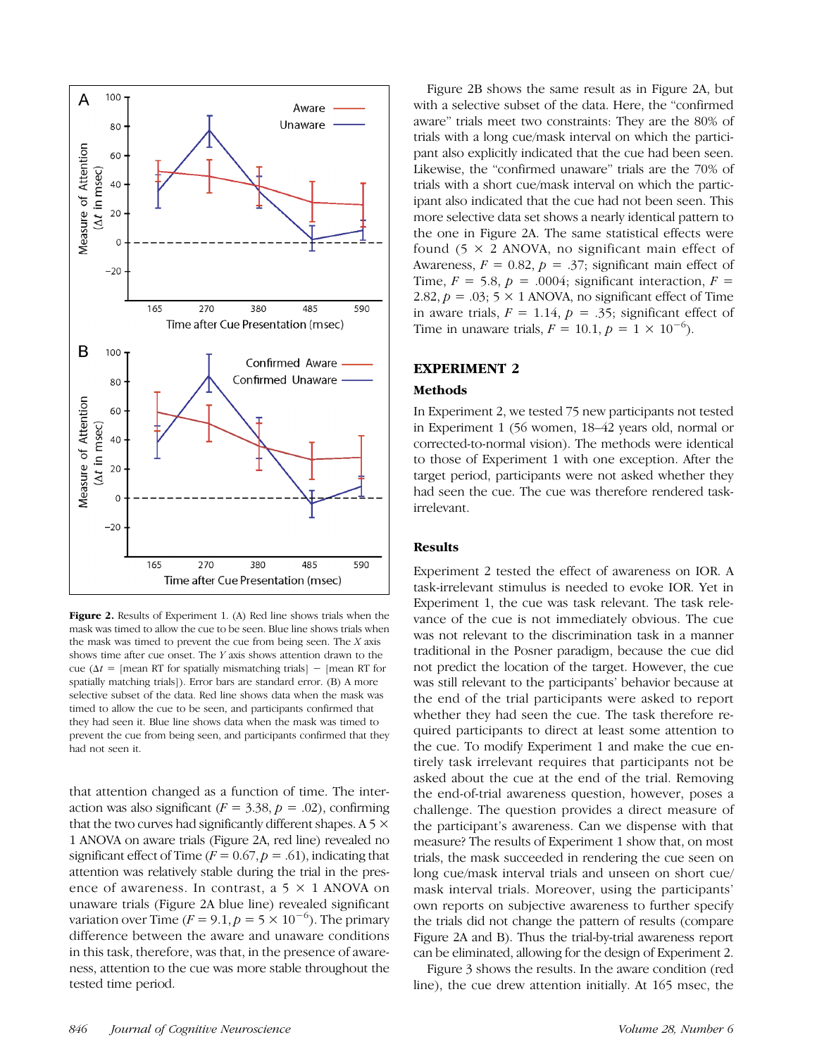

Figure 2. Results of Experiment 1. (A) Red line shows trials when the mask was timed to allow the cue to be seen. Blue line shows trials when the mask was timed to prevent the cue from being seen. The  $X$  axis shows time after cue onset. The Y axis shows attention drawn to the cue ( $\Delta t$  = [mean RT for spatially mismatching trials] – [mean RT for spatially matching trials]). Error bars are standard error. (B) A more selective subset of the data. Red line shows data when the mask was timed to allow the cue to be seen, and participants confirmed that they had seen it. Blue line shows data when the mask was timed to prevent the cue from being seen, and participants confirmed that they had not seen it.

that attention changed as a function of time. The interaction was also significant ( $F = 3.38$ ,  $p = .02$ ), confirming that the two curves had significantly different shapes. A 5  $\times$ 1 ANOVA on aware trials (Figure 2A, red line) revealed no significant effect of Time ( $F = 0.67$ ,  $p = .61$ ), indicating that attention was relatively stable during the trial in the presence of awareness. In contrast, a  $5 \times 1$  ANOVA on unaware trials (Figure 2A blue line) revealed significant variation over Time ( $F = 9.1, p = 5 \times 10^{-6}$ ). The primary difference between the aware and unaware conditions in this task, therefore, was that, in the presence of awareness, attention to the cue was more stable throughout the tested time period.

Figure 2B shows the same result as in Figure 2A, but with a selective subset of the data. Here, the "confirmed aware" trials meet two constraints: They are the 80% of trials with a long cue/mask interval on which the participant also explicitly indicated that the cue had been seen. Likewise, the "confirmed unaware" trials are the 70% of trials with a short cue/mask interval on which the participant also indicated that the cue had not been seen. This more selective data set shows a nearly identical pattern to the one in Figure 2A. The same statistical effects were found  $(5 \times 2)$  ANOVA, no significant main effect of Awareness,  $F = 0.82$ ,  $p = .37$ ; significant main effect of Time,  $F = 5.8$ ,  $p = .0004$ ; significant interaction,  $F =$ 2.82,  $p = .03$ ;  $5 \times 1$  ANOVA, no significant effect of Time in aware trials,  $F = 1.14$ ,  $p = .35$ ; significant effect of Time in unaware trials,  $F = 10.1, p = 1 \times 10^{-6}$ .

## EXPERIMENT 2

#### Methods

In Experiment 2, we tested 75 new participants not tested in Experiment 1 (56 women, 18–42 years old, normal or corrected-to-normal vision). The methods were identical to those of Experiment 1 with one exception. After the target period, participants were not asked whether they had seen the cue. The cue was therefore rendered taskirrelevant.

#### **Results**

Experiment 2 tested the effect of awareness on IOR. A task-irrelevant stimulus is needed to evoke IOR. Yet in Experiment 1, the cue was task relevant. The task relevance of the cue is not immediately obvious. The cue was not relevant to the discrimination task in a manner traditional in the Posner paradigm, because the cue did not predict the location of the target. However, the cue was still relevant to the participants' behavior because at the end of the trial participants were asked to report whether they had seen the cue. The task therefore required participants to direct at least some attention to the cue. To modify Experiment 1 and make the cue entirely task irrelevant requires that participants not be asked about the cue at the end of the trial. Removing the end-of-trial awareness question, however, poses a challenge. The question provides a direct measure of the participant's awareness. Can we dispense with that measure? The results of Experiment 1 show that, on most trials, the mask succeeded in rendering the cue seen on long cue/mask interval trials and unseen on short cue/ mask interval trials. Moreover, using the participants' own reports on subjective awareness to further specify the trials did not change the pattern of results (compare Figure 2A and B). Thus the trial-by-trial awareness report can be eliminated, allowing for the design of Experiment 2.

Figure 3 shows the results. In the aware condition (red line), the cue drew attention initially. At 165 msec, the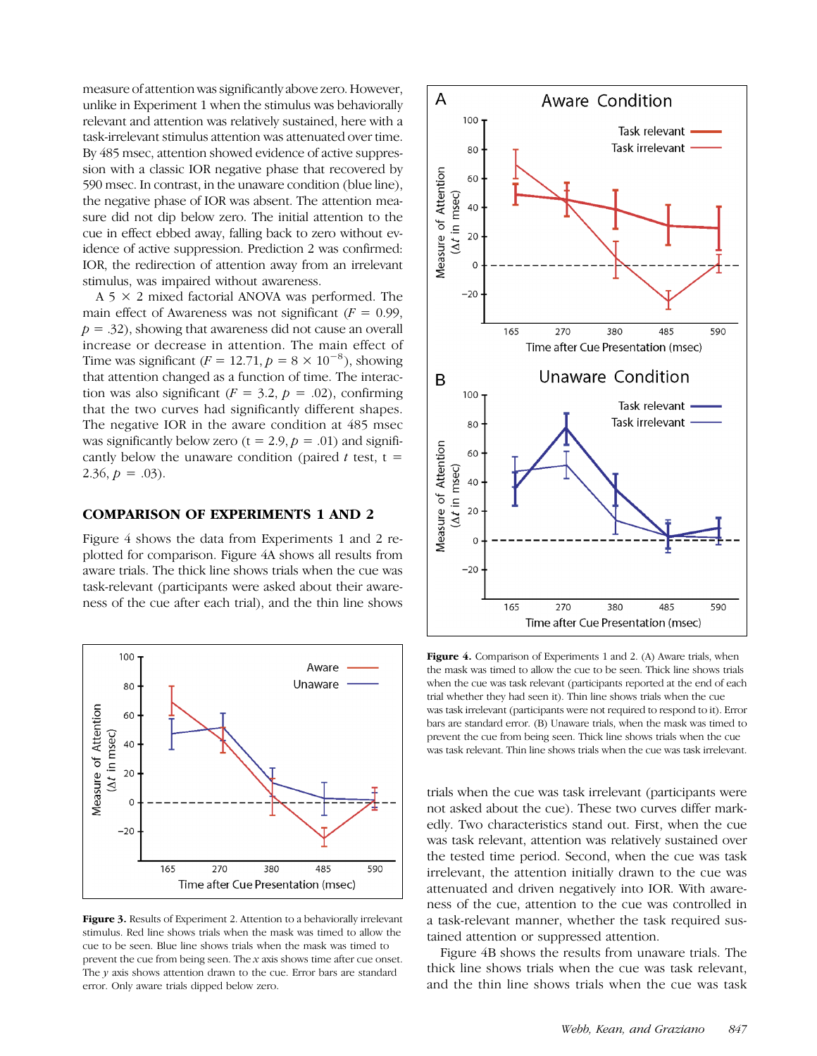measure of attention was significantly above zero. However, unlike in Experiment 1 when the stimulus was behaviorally relevant and attention was relatively sustained, here with a task-irrelevant stimulus attention was attenuated over time. By 485 msec, attention showed evidence of active suppression with a classic IOR negative phase that recovered by 590 msec. In contrast, in the unaware condition (blue line), the negative phase of IOR was absent. The attention measure did not dip below zero. The initial attention to the cue in effect ebbed away, falling back to zero without evidence of active suppression. Prediction 2 was confirmed: IOR, the redirection of attention away from an irrelevant stimulus, was impaired without awareness.

 $A$  5  $\times$  2 mixed factorial ANOVA was performed. The main effect of Awareness was not significant ( $F = 0.99$ ,  $p = 0.32$ , showing that awareness did not cause an overall increase or decrease in attention. The main effect of Time was significant ( $F = 12.71, p = 8 \times 10^{-8}$ ), showing that attention changed as a function of time. The interaction was also significant ( $F = 3.2$ ,  $p = .02$ ), confirming that the two curves had significantly different shapes. The negative IOR in the aware condition at 485 msec was significantly below zero ( $t = 2.9$ ,  $p = .01$ ) and significantly below the unaware condition (paired t test,  $t =$ 2.36,  $p = .03$ ).

#### COMPARISON OF EXPERIMENTS 1 AND 2

Figure 4 shows the data from Experiments 1 and 2 replotted for comparison. Figure 4A shows all results from aware trials. The thick line shows trials when the cue was task-relevant (participants were asked about their awareness of the cue after each trial), and the thin line shows



Figure 3. Results of Experiment 2. Attention to a behaviorally irrelevant stimulus. Red line shows trials when the mask was timed to allow the cue to be seen. Blue line shows trials when the mask was timed to prevent the cue from being seen. The x axis shows time after cue onset. The  $\nu$  axis shows attention drawn to the cue. Error bars are standard error. Only aware trials dipped below zero.



Figure 4. Comparison of Experiments 1 and 2. (A) Aware trials, when the mask was timed to allow the cue to be seen. Thick line shows trials when the cue was task relevant (participants reported at the end of each trial whether they had seen it). Thin line shows trials when the cue was task irrelevant (participants were not required to respond to it). Error bars are standard error. (B) Unaware trials, when the mask was timed to prevent the cue from being seen. Thick line shows trials when the cue was task relevant. Thin line shows trials when the cue was task irrelevant.

trials when the cue was task irrelevant (participants were not asked about the cue). These two curves differ markedly. Two characteristics stand out. First, when the cue was task relevant, attention was relatively sustained over the tested time period. Second, when the cue was task irrelevant, the attention initially drawn to the cue was attenuated and driven negatively into IOR. With awareness of the cue, attention to the cue was controlled in a task-relevant manner, whether the task required sustained attention or suppressed attention.

Figure 4B shows the results from unaware trials. The thick line shows trials when the cue was task relevant, and the thin line shows trials when the cue was task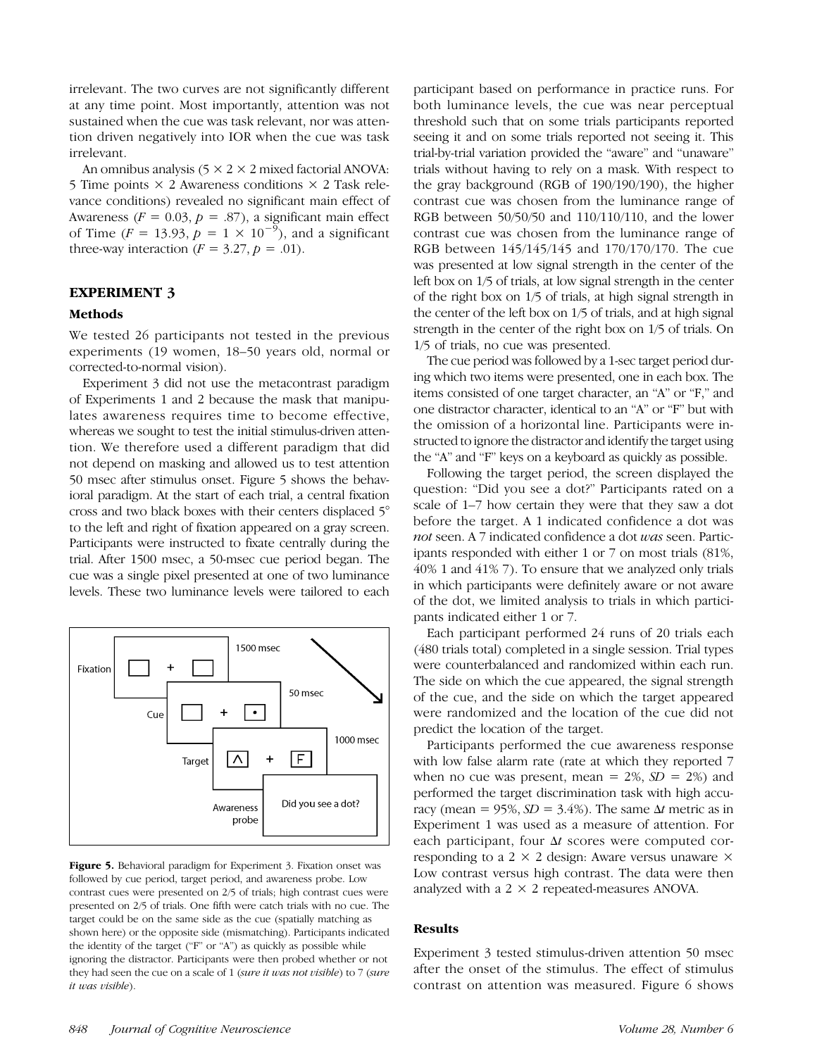irrelevant. The two curves are not significantly different at any time point. Most importantly, attention was not sustained when the cue was task relevant, nor was attention driven negatively into IOR when the cue was task irrelevant.

An omnibus analysis  $(5 \times 2 \times 2 \text{ mixed factorial ANOVA})$ : 5 Time points  $\times$  2 Awareness conditions  $\times$  2 Task relevance conditions) revealed no significant main effect of Awareness ( $F = 0.03$ ,  $p = .87$ ), a significant main effect of Time ( $F = 13.93$ ,  $p = 1 \times 10^{-9}$ ), and a significant three-way interaction ( $F = 3.27$ ,  $p = .01$ ).

# EXPERIMENT 3

#### Methods

We tested 26 participants not tested in the previous experiments (19 women, 18–50 years old, normal or corrected-to-normal vision).

Experiment 3 did not use the metacontrast paradigm of Experiments 1 and 2 because the mask that manipulates awareness requires time to become effective, whereas we sought to test the initial stimulus-driven attention. We therefore used a different paradigm that did not depend on masking and allowed us to test attention 50 msec after stimulus onset. Figure 5 shows the behavioral paradigm. At the start of each trial, a central fixation cross and two black boxes with their centers displaced 5° to the left and right of fixation appeared on a gray screen. Participants were instructed to fixate centrally during the trial. After 1500 msec, a 50-msec cue period began. The cue was a single pixel presented at one of two luminance levels. These two luminance levels were tailored to each



Figure 5. Behavioral paradigm for Experiment 3. Fixation onset was followed by cue period, target period, and awareness probe. Low contrast cues were presented on 2/5 of trials; high contrast cues were presented on 2/5 of trials. One fifth were catch trials with no cue. The target could be on the same side as the cue (spatially matching as shown here) or the opposite side (mismatching). Participants indicated the identity of the target ("F" or "A") as quickly as possible while ignoring the distractor. Participants were then probed whether or not they had seen the cue on a scale of 1 (sure it was not visible) to 7 (sure it was visible).

participant based on performance in practice runs. For both luminance levels, the cue was near perceptual threshold such that on some trials participants reported seeing it and on some trials reported not seeing it. This trial-by-trial variation provided the "aware" and "unaware" trials without having to rely on a mask. With respect to the gray background (RGB of 190/190/190), the higher contrast cue was chosen from the luminance range of RGB between 50/50/50 and 110/110/110, and the lower contrast cue was chosen from the luminance range of RGB between 145/145/145 and 170/170/170. The cue was presented at low signal strength in the center of the left box on 1/5 of trials, at low signal strength in the center of the right box on 1/5 of trials, at high signal strength in the center of the left box on 1/5 of trials, and at high signal strength in the center of the right box on 1/5 of trials. On 1/5 of trials, no cue was presented.

The cue period was followed by a 1-sec target period during which two items were presented, one in each box. The items consisted of one target character, an "A" or "F," and one distractor character, identical to an "A" or "F" but with the omission of a horizontal line. Participants were instructed to ignore the distractor and identify the target using the "A" and "F" keys on a keyboard as quickly as possible.

Following the target period, the screen displayed the question: "Did you see a dot?" Participants rated on a scale of 1–7 how certain they were that they saw a dot before the target. A 1 indicated confidence a dot was not seen. A 7 indicated confidence a dot was seen. Participants responded with either 1 or 7 on most trials (81%, 40% 1 and 41% 7). To ensure that we analyzed only trials in which participants were definitely aware or not aware of the dot, we limited analysis to trials in which participants indicated either 1 or 7.

Each participant performed 24 runs of 20 trials each (480 trials total) completed in a single session. Trial types were counterbalanced and randomized within each run. The side on which the cue appeared, the signal strength of the cue, and the side on which the target appeared were randomized and the location of the cue did not predict the location of the target.

Participants performed the cue awareness response with low false alarm rate (rate at which they reported 7 when no cue was present, mean =  $2\%$ ,  $SD = 2\%$ ) and performed the target discrimination task with high accuracy (mean = 95%,  $SD = 3.4\%$ ). The same  $\Delta t$  metric as in Experiment 1 was used as a measure of attention. For each participant, four  $\Delta t$  scores were computed corresponding to a 2  $\times$  2 design: Aware versus unaware  $\times$ Low contrast versus high contrast. The data were then analyzed with a  $2 \times 2$  repeated-measures ANOVA.

#### Results

Experiment 3 tested stimulus-driven attention 50 msec after the onset of the stimulus. The effect of stimulus contrast on attention was measured. Figure 6 shows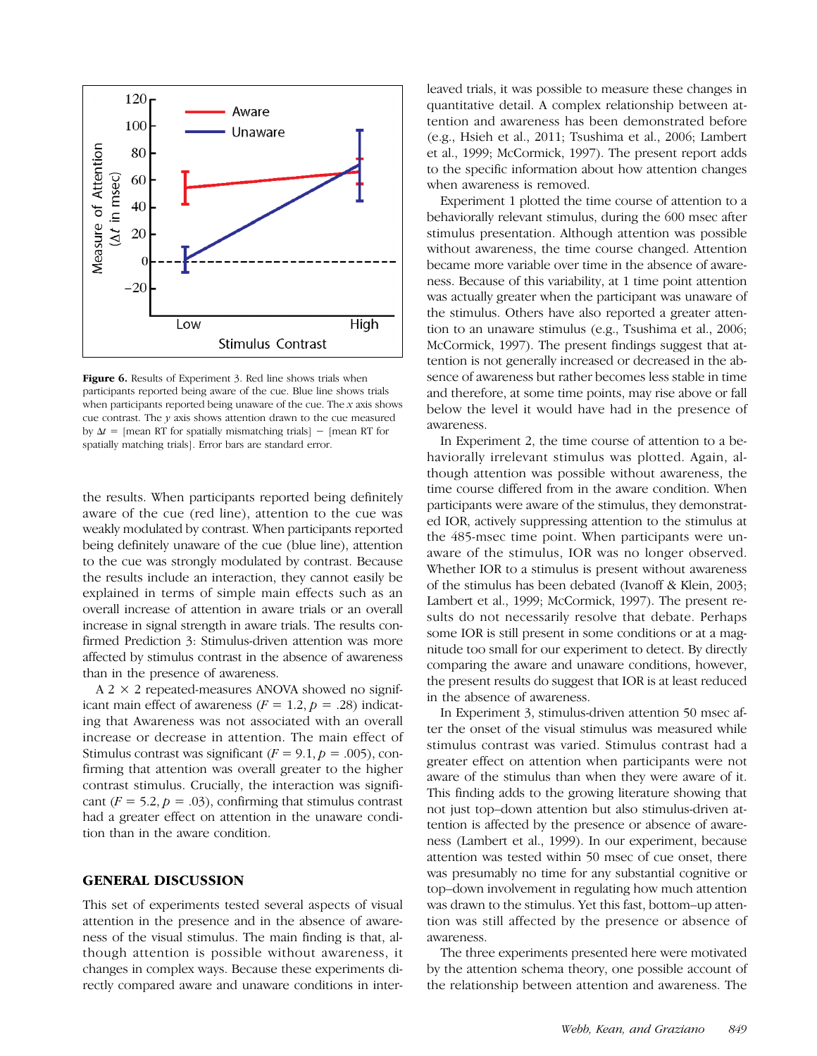

Figure 6. Results of Experiment 3. Red line shows trials when participants reported being aware of the cue. Blue line shows trials when participants reported being unaware of the cue. The  $x$  axis shows cue contrast. The  $y$  axis shows attention drawn to the cue measured by  $\Delta t$  = [mean RT for spatially mismatching trials] – [mean RT for spatially matching trials]. Error bars are standard error.

the results. When participants reported being definitely aware of the cue (red line), attention to the cue was weakly modulated by contrast. When participants reported being definitely unaware of the cue (blue line), attention to the cue was strongly modulated by contrast. Because the results include an interaction, they cannot easily be explained in terms of simple main effects such as an overall increase of attention in aware trials or an overall increase in signal strength in aware trials. The results confirmed Prediction 3: Stimulus-driven attention was more affected by stimulus contrast in the absence of awareness than in the presence of awareness.

 $A$  2  $\times$  2 repeated-measures ANOVA showed no significant main effect of awareness ( $F = 1.2$ ,  $p = .28$ ) indicating that Awareness was not associated with an overall increase or decrease in attention. The main effect of Stimulus contrast was significant ( $F = 9.1$ ,  $p = .005$ ), confirming that attention was overall greater to the higher contrast stimulus. Crucially, the interaction was significant  $(F = 5.2, p = .03)$ , confirming that stimulus contrast had a greater effect on attention in the unaware condition than in the aware condition.

# GENERAL DISCUSSION

This set of experiments tested several aspects of visual attention in the presence and in the absence of awareness of the visual stimulus. The main finding is that, although attention is possible without awareness, it changes in complex ways. Because these experiments directly compared aware and unaware conditions in interleaved trials, it was possible to measure these changes in quantitative detail. A complex relationship between attention and awareness has been demonstrated before (e.g., Hsieh et al., 2011; Tsushima et al., 2006; Lambert et al., 1999; McCormick, 1997). The present report adds to the specific information about how attention changes when awareness is removed.

Experiment 1 plotted the time course of attention to a behaviorally relevant stimulus, during the 600 msec after stimulus presentation. Although attention was possible without awareness, the time course changed. Attention became more variable over time in the absence of awareness. Because of this variability, at 1 time point attention was actually greater when the participant was unaware of the stimulus. Others have also reported a greater attention to an unaware stimulus (e.g., Tsushima et al., 2006; McCormick, 1997). The present findings suggest that attention is not generally increased or decreased in the absence of awareness but rather becomes less stable in time and therefore, at some time points, may rise above or fall below the level it would have had in the presence of awareness.

In Experiment 2, the time course of attention to a behaviorally irrelevant stimulus was plotted. Again, although attention was possible without awareness, the time course differed from in the aware condition. When participants were aware of the stimulus, they demonstrated IOR, actively suppressing attention to the stimulus at the 485-msec time point. When participants were unaware of the stimulus, IOR was no longer observed. Whether IOR to a stimulus is present without awareness of the stimulus has been debated (Ivanoff & Klein, 2003; Lambert et al., 1999; McCormick, 1997). The present results do not necessarily resolve that debate. Perhaps some IOR is still present in some conditions or at a magnitude too small for our experiment to detect. By directly comparing the aware and unaware conditions, however, the present results do suggest that IOR is at least reduced in the absence of awareness.

In Experiment 3, stimulus-driven attention 50 msec after the onset of the visual stimulus was measured while stimulus contrast was varied. Stimulus contrast had a greater effect on attention when participants were not aware of the stimulus than when they were aware of it. This finding adds to the growing literature showing that not just top–down attention but also stimulus-driven attention is affected by the presence or absence of awareness (Lambert et al., 1999). In our experiment, because attention was tested within 50 msec of cue onset, there was presumably no time for any substantial cognitive or top–down involvement in regulating how much attention was drawn to the stimulus. Yet this fast, bottom–up attention was still affected by the presence or absence of awareness.

The three experiments presented here were motivated by the attention schema theory, one possible account of the relationship between attention and awareness. The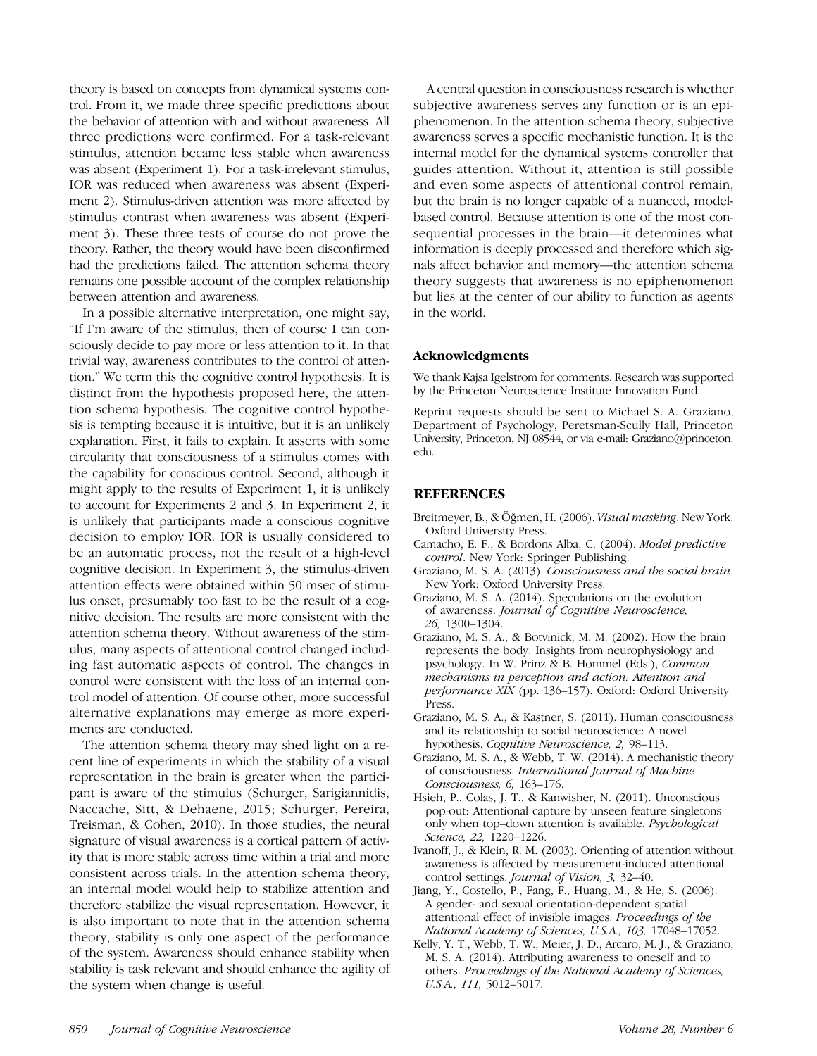theory is based on concepts from dynamical systems control. From it, we made three specific predictions about the behavior of attention with and without awareness. All three predictions were confirmed. For a task-relevant stimulus, attention became less stable when awareness was absent (Experiment 1). For a task-irrelevant stimulus, IOR was reduced when awareness was absent (Experiment 2). Stimulus-driven attention was more affected by stimulus contrast when awareness was absent (Experiment 3). These three tests of course do not prove the theory. Rather, the theory would have been disconfirmed had the predictions failed. The attention schema theory remains one possible account of the complex relationship between attention and awareness.

In a possible alternative interpretation, one might say, "If I'm aware of the stimulus, then of course I can consciously decide to pay more or less attention to it. In that trivial way, awareness contributes to the control of attention." We term this the cognitive control hypothesis. It is distinct from the hypothesis proposed here, the attention schema hypothesis. The cognitive control hypothesis is tempting because it is intuitive, but it is an unlikely explanation. First, it fails to explain. It asserts with some circularity that consciousness of a stimulus comes with the capability for conscious control. Second, although it might apply to the results of Experiment 1, it is unlikely to account for Experiments 2 and 3. In Experiment 2, it is unlikely that participants made a conscious cognitive decision to employ IOR. IOR is usually considered to be an automatic process, not the result of a high-level cognitive decision. In Experiment 3, the stimulus-driven attention effects were obtained within 50 msec of stimulus onset, presumably too fast to be the result of a cognitive decision. The results are more consistent with the attention schema theory. Without awareness of the stimulus, many aspects of attentional control changed including fast automatic aspects of control. The changes in control were consistent with the loss of an internal control model of attention. Of course other, more successful alternative explanations may emerge as more experiments are conducted.

The attention schema theory may shed light on a recent line of experiments in which the stability of a visual representation in the brain is greater when the participant is aware of the stimulus (Schurger, Sarigiannidis, Naccache, Sitt, & Dehaene, 2015; Schurger, Pereira, Treisman, & Cohen, 2010). In those studies, the neural signature of visual awareness is a cortical pattern of activity that is more stable across time within a trial and more consistent across trials. In the attention schema theory, an internal model would help to stabilize attention and therefore stabilize the visual representation. However, it is also important to note that in the attention schema theory, stability is only one aspect of the performance of the system. Awareness should enhance stability when stability is task relevant and should enhance the agility of the system when change is useful.

A central question in consciousness research is whether subjective awareness serves any function or is an epiphenomenon. In the attention schema theory, subjective awareness serves a specific mechanistic function. It is the internal model for the dynamical systems controller that guides attention. Without it, attention is still possible and even some aspects of attentional control remain, but the brain is no longer capable of a nuanced, modelbased control. Because attention is one of the most consequential processes in the brain—it determines what information is deeply processed and therefore which signals affect behavior and memory—the attention schema theory suggests that awareness is no epiphenomenon but lies at the center of our ability to function as agents in the world.

#### Acknowledgments

We thank Kajsa Igelstrom for comments. Research was supported by the Princeton Neuroscience Institute Innovation Fund.

Reprint requests should be sent to Michael S. A. Graziano, Department of Psychology, Peretsman-Scully Hall, Princeton University, Princeton, NJ 08544, or via e-mail: Graziano@princeton. edu.

#### REFERENCES

- Breitmeyer, B., & Öğmen, H. (2006). Visual masking. New York: Oxford University Press.
- Camacho, E. F., & Bordons Alba, C. (2004). Model predictive control. New York: Springer Publishing.
- Graziano, M. S. A. (2013). Consciousness and the social brain. New York: Oxford University Press.
- Graziano, M. S. A. (2014). Speculations on the evolution of awareness. Journal of Cognitive Neuroscience, 26, 1300–1304.
- Graziano, M. S. A., & Botvinick, M. M. (2002). How the brain represents the body: Insights from neurophysiology and psychology. In W. Prinz & B. Hommel (Eds.), Common mechanisms in perception and action: Attention and performance XIX (pp. 136–157). Oxford: Oxford University Press.
- Graziano, M. S. A., & Kastner, S. (2011). Human consciousness and its relationship to social neuroscience: A novel hypothesis. Cognitive Neuroscience, 2, 98–113.
- Graziano, M. S. A., & Webb, T. W. (2014). A mechanistic theory of consciousness. International Journal of Machine Consciousness, 6, 163–176.
- Hsieh, P., Colas, J. T., & Kanwisher, N. (2011). Unconscious pop-out: Attentional capture by unseen feature singletons only when top–down attention is available. Psychological Science, 22, 1220–1226.
- Ivanoff, J., & Klein, R. M. (2003). Orienting of attention without awareness is affected by measurement-induced attentional control settings. Journal of Vision, 3, 32–40.
- Jiang, Y., Costello, P., Fang, F., Huang, M., & He, S. (2006). A gender- and sexual orientation-dependent spatial attentional effect of invisible images. Proceedings of the National Academy of Sciences, U.S.A., 103, 17048–17052.
- Kelly, Y. T., Webb, T. W., Meier, J. D., Arcaro, M. J., & Graziano, M. S. A. (2014). Attributing awareness to oneself and to others. Proceedings of the National Academy of Sciences, U.S.A., 111, 5012–5017.